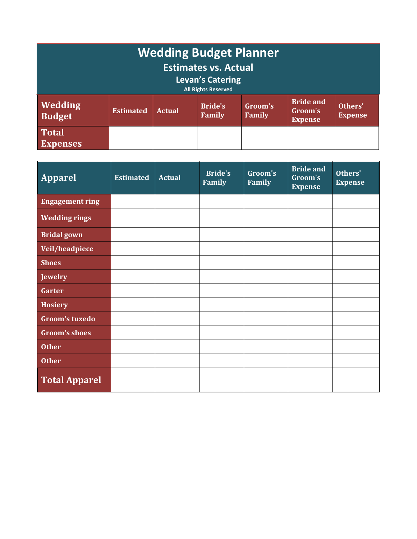| <b>Wedding Budget Planner</b><br><b>Estimates vs. Actual</b><br><b>Levan's Catering</b><br><b>All Rights Reserved</b> |                                                                                                                                                                  |  |  |  |  |  |  |  |
|-----------------------------------------------------------------------------------------------------------------------|------------------------------------------------------------------------------------------------------------------------------------------------------------------|--|--|--|--|--|--|--|
| <b>Wedding</b><br><b>Budget</b>                                                                                       | <b>Bride and</b><br>Others'<br><b>Bride's</b><br>Groom's<br><b>Estimated</b><br><b>Actual</b><br>Groom's<br>Family<br>Family<br><b>Expense</b><br><b>Expense</b> |  |  |  |  |  |  |  |
| <b>Total</b><br><b>Expenses</b>                                                                                       |                                                                                                                                                                  |  |  |  |  |  |  |  |

| <b>Apparel</b>         | <b>Estimated</b> | <b>Actual</b> | <b>Bride's</b><br>Family | Groom's<br>Family | <b>Bride and</b><br>Groom's<br><b>Expense</b> | Others'<br><b>Expense</b> |
|------------------------|------------------|---------------|--------------------------|-------------------|-----------------------------------------------|---------------------------|
| <b>Engagement ring</b> |                  |               |                          |                   |                                               |                           |
| <b>Wedding rings</b>   |                  |               |                          |                   |                                               |                           |
| <b>Bridal gown</b>     |                  |               |                          |                   |                                               |                           |
| Veil/headpiece         |                  |               |                          |                   |                                               |                           |
| <b>Shoes</b>           |                  |               |                          |                   |                                               |                           |
| Jewelry                |                  |               |                          |                   |                                               |                           |
| Garter                 |                  |               |                          |                   |                                               |                           |
| Hosiery                |                  |               |                          |                   |                                               |                           |
| <b>Groom's tuxedo</b>  |                  |               |                          |                   |                                               |                           |
| <b>Groom's shoes</b>   |                  |               |                          |                   |                                               |                           |
| <b>Other</b>           |                  |               |                          |                   |                                               |                           |
| <b>Other</b>           |                  |               |                          |                   |                                               |                           |
| <b>Total Apparel</b>   |                  |               |                          |                   |                                               |                           |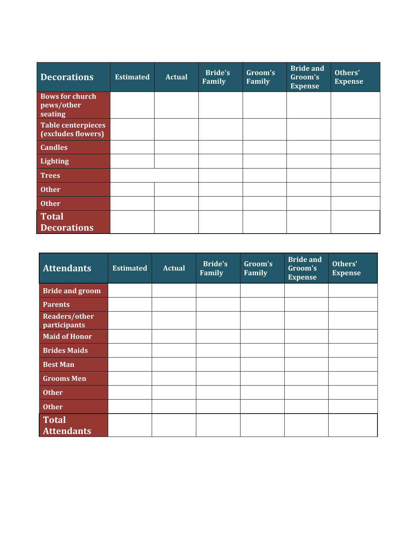| <b>Decorations</b>                              | <b>Estimated</b> | <b>Actual</b> | <b>Bride's</b><br><b>Family</b> | Groom's<br><b>Family</b> | <b>Bride and</b><br>Groom's<br><b>Expense</b> | Others'<br><b>Expense</b> |
|-------------------------------------------------|------------------|---------------|---------------------------------|--------------------------|-----------------------------------------------|---------------------------|
| <b>Bows for church</b><br>pews/other<br>seating |                  |               |                                 |                          |                                               |                           |
| <b>Table centerpieces</b><br>(excludes flowers) |                  |               |                                 |                          |                                               |                           |
| <b>Candles</b>                                  |                  |               |                                 |                          |                                               |                           |
| <b>Lighting</b>                                 |                  |               |                                 |                          |                                               |                           |
| <b>Trees</b>                                    |                  |               |                                 |                          |                                               |                           |
| <b>Other</b>                                    |                  |               |                                 |                          |                                               |                           |
| <b>Other</b>                                    |                  |               |                                 |                          |                                               |                           |
| <b>Total</b><br><b>Decorations</b>              |                  |               |                                 |                          |                                               |                           |

| <b>Attendants</b>                    | <b>Estimated</b> | <b>Actual</b> | <b>Bride's</b><br>Family | Groom's<br>Family | <b>Bride and</b><br>Groom's<br><b>Expense</b> | Others'<br><b>Expense</b> |
|--------------------------------------|------------------|---------------|--------------------------|-------------------|-----------------------------------------------|---------------------------|
| <b>Bride and groom</b>               |                  |               |                          |                   |                                               |                           |
| <b>Parents</b>                       |                  |               |                          |                   |                                               |                           |
| <b>Readers/other</b><br>participants |                  |               |                          |                   |                                               |                           |
| <b>Maid of Honor</b>                 |                  |               |                          |                   |                                               |                           |
| <b>Brides Maids</b>                  |                  |               |                          |                   |                                               |                           |
| <b>Best Man</b>                      |                  |               |                          |                   |                                               |                           |
| <b>Grooms Men</b>                    |                  |               |                          |                   |                                               |                           |
| <b>Other</b>                         |                  |               |                          |                   |                                               |                           |
| <b>Other</b>                         |                  |               |                          |                   |                                               |                           |
| <b>Total</b><br><b>Attendants</b>    |                  |               |                          |                   |                                               |                           |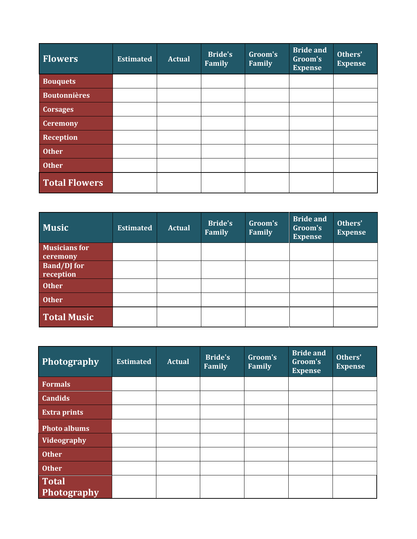| <b>Flowers</b>       | <b>Estimated</b> | <b>Actual</b> | <b>Bride's</b><br>Family | Groom's<br>Family | <b>Bride and</b><br>Groom's<br><b>Expense</b> | Others'<br><b>Expense</b> |
|----------------------|------------------|---------------|--------------------------|-------------------|-----------------------------------------------|---------------------------|
| <b>Bouquets</b>      |                  |               |                          |                   |                                               |                           |
| <b>Boutonnières</b>  |                  |               |                          |                   |                                               |                           |
| <b>Corsages</b>      |                  |               |                          |                   |                                               |                           |
| <b>Ceremony</b>      |                  |               |                          |                   |                                               |                           |
| <b>Reception</b>     |                  |               |                          |                   |                                               |                           |
| <b>Other</b>         |                  |               |                          |                   |                                               |                           |
| <b>Other</b>         |                  |               |                          |                   |                                               |                           |
| <b>Total Flowers</b> |                  |               |                          |                   |                                               |                           |

| <b>Music</b>         | <b>Estimated</b> | <b>Actual</b> | <b>Bride's</b><br>Family | Groom's<br>Family | <b>Bride and</b><br>Groom's<br><b>Expense</b> | Others'<br><b>Expense</b> |
|----------------------|------------------|---------------|--------------------------|-------------------|-----------------------------------------------|---------------------------|
| <b>Musicians for</b> |                  |               |                          |                   |                                               |                           |
| ceremony             |                  |               |                          |                   |                                               |                           |
| <b>Band/DJ</b> for   |                  |               |                          |                   |                                               |                           |
| reception            |                  |               |                          |                   |                                               |                           |
| <b>Other</b>         |                  |               |                          |                   |                                               |                           |
| <b>Other</b>         |                  |               |                          |                   |                                               |                           |
| <b>Total Music</b>   |                  |               |                          |                   |                                               |                           |

| <b>Photography</b>   | <b>Estimated</b> | <b>Actual</b> | <b>Bride's</b><br>Family | Groom's<br>Family | <b>Bride and</b><br>Groom's<br><b>Expense</b> | Others'<br><b>Expense</b> |
|----------------------|------------------|---------------|--------------------------|-------------------|-----------------------------------------------|---------------------------|
| <b>Formals</b>       |                  |               |                          |                   |                                               |                           |
| <b>Candids</b>       |                  |               |                          |                   |                                               |                           |
| <b>Extra prints</b>  |                  |               |                          |                   |                                               |                           |
| <b>Photo albums</b>  |                  |               |                          |                   |                                               |                           |
| Videography          |                  |               |                          |                   |                                               |                           |
| <b>Other</b>         |                  |               |                          |                   |                                               |                           |
| <b>Other</b>         |                  |               |                          |                   |                                               |                           |
| Total<br>Photography |                  |               |                          |                   |                                               |                           |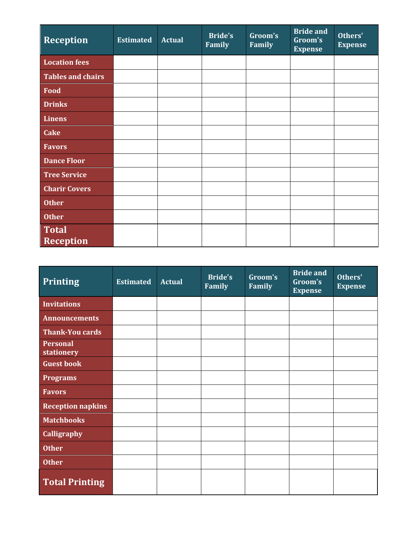| Reception                | <b>Estimated</b> | <b>Actual</b> | <b>Bride's</b><br>Family | Groom's<br>Family | <b>Bride and</b><br>Groom's<br><b>Expense</b> | Others'<br><b>Expense</b> |
|--------------------------|------------------|---------------|--------------------------|-------------------|-----------------------------------------------|---------------------------|
| <b>Location fees</b>     |                  |               |                          |                   |                                               |                           |
| <b>Tables and chairs</b> |                  |               |                          |                   |                                               |                           |
| Food                     |                  |               |                          |                   |                                               |                           |
| <b>Drinks</b>            |                  |               |                          |                   |                                               |                           |
| Linens                   |                  |               |                          |                   |                                               |                           |
| <b>Cake</b>              |                  |               |                          |                   |                                               |                           |
| <b>Favors</b>            |                  |               |                          |                   |                                               |                           |
| <b>Dance Floor</b>       |                  |               |                          |                   |                                               |                           |
| <b>Tree Service</b>      |                  |               |                          |                   |                                               |                           |
| <b>Charir Covers</b>     |                  |               |                          |                   |                                               |                           |
| <b>Other</b>             |                  |               |                          |                   |                                               |                           |
| <b>Other</b>             |                  |               |                          |                   |                                               |                           |
| Total                    |                  |               |                          |                   |                                               |                           |
| <b>Reception</b>         |                  |               |                          |                   |                                               |                           |

| <b>Printing</b>               | <b>Estimated</b> | <b>Actual</b> | <b>Bride's</b><br>Family | Groom's<br>Family | <b>Bride and</b><br>Groom's<br><b>Expense</b> | Others'<br><b>Expense</b> |
|-------------------------------|------------------|---------------|--------------------------|-------------------|-----------------------------------------------|---------------------------|
| <b>Invitations</b>            |                  |               |                          |                   |                                               |                           |
| <b>Announcements</b>          |                  |               |                          |                   |                                               |                           |
| <b>Thank-You cards</b>        |                  |               |                          |                   |                                               |                           |
| <b>Personal</b><br>stationery |                  |               |                          |                   |                                               |                           |
| <b>Guest book</b>             |                  |               |                          |                   |                                               |                           |
| <b>Programs</b>               |                  |               |                          |                   |                                               |                           |
| <b>Favors</b>                 |                  |               |                          |                   |                                               |                           |
| <b>Reception napkins</b>      |                  |               |                          |                   |                                               |                           |
| <b>Matchbooks</b>             |                  |               |                          |                   |                                               |                           |
| <b>Calligraphy</b>            |                  |               |                          |                   |                                               |                           |
| <b>Other</b>                  |                  |               |                          |                   |                                               |                           |
| <b>Other</b>                  |                  |               |                          |                   |                                               |                           |
| <b>Total Printing</b>         |                  |               |                          |                   |                                               |                           |